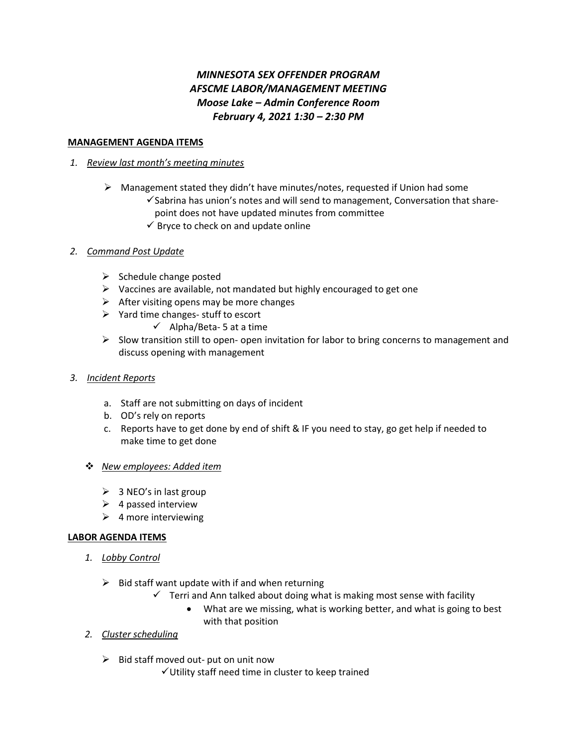# *MINNESOTA SEX OFFENDER PROGRAM AFSCME LABOR/MANAGEMENT MEETING Moose Lake – Admin Conference Room February 4, 2021 1:30 – 2:30 PM*

## **MANAGEMENT AGENDA ITEMS**

### *1. Review last month's meeting minutes*

- $\triangleright$  Management stated they didn't have minutes/notes, requested if Union had some ✓Sabrina has union's notes and will send to management, Conversation that share
	- point does not have updated minutes from committee
	- $\checkmark$  Bryce to check on and update online

## *2. Command Post Update*

- $\triangleright$  Schedule change posted
- $\triangleright$  Vaccines are available, not mandated but highly encouraged to get one
- $\triangleright$  After visiting opens may be more changes
- ➢ Yard time changes- stuff to escort
	- $\checkmark$  Alpha/Beta-5 at a time
- $\triangleright$  Slow transition still to open- open invitation for labor to bring concerns to management and discuss opening with management
- *3. Incident Reports* 
	- a. Staff are not submitting on days of incident
	- b. OD's rely on reports
	- c. Reports have to get done by end of shift & IF you need to stay, go get help if needed to make time to get done

#### ❖ *New employees: Added item*

- $\geqslant$  3 NEO's in last group
- $\triangleright$  4 passed interview
- $\triangleright$  4 more interviewing

#### **LABOR AGENDA ITEMS**

- *1. Lobby Control*
	- $\triangleright$  Bid staff want update with if and when returning
		- $\checkmark$  Terri and Ann talked about doing what is making most sense with facility
			- What are we missing, what is working better, and what is going to best with that position
- *2. Cluster scheduling* 
	- $\triangleright$  Bid staff moved out- put on unit now
		- ✓Utility staff need time in cluster to keep trained